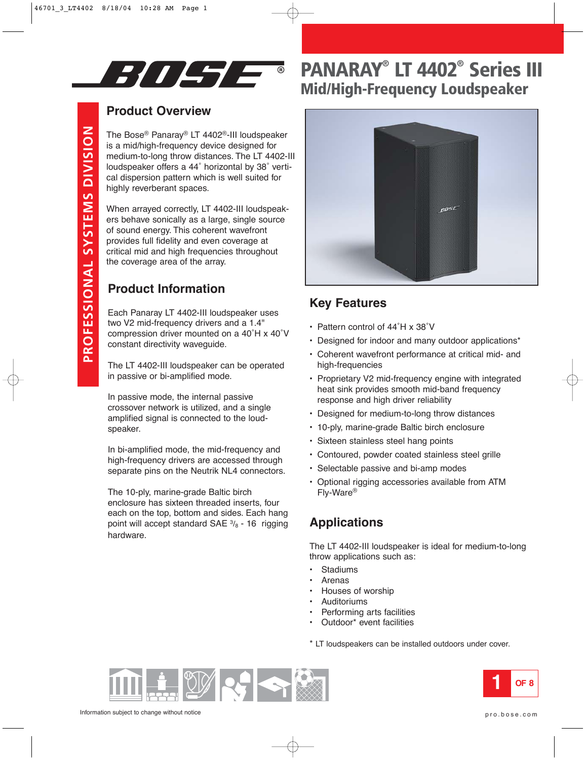

## **Product Overview**

The Bose ® Panaray ® LT 4402 ®-III loudspeaker is a mid/high-frequency device designed for medium-to-long throw distances. The LT 4402-III loudspeaker offers a 44 ˚ horizontal by 38 ˚ vertical dispersion pattern which is well suited for highly reverberant spaces.

When arrayed correctly, LT 4402-III loudspeakers behave sonically as a large, single source of sound energy. This coherent wavefront provides full fidelity and even coverage at critical mid and high frequencies throughout the coverage area of the array.

## **Product Information**

Each Panaray LT 4402-III loudspeaker uses two V2 mid-frequency drivers and a 1.4" compression driver mounted on a 40°H x 40°V constant directivity waveguide.

The LT 4402-III loudspeaker can be operated in passive or bi-amplified mode.

In passive mode, the internal passive crossover network is utilized, and a single amplified signal is connected to the loudspeaker.

In bi-amplified mode, the mid-frequency and high-frequency drivers are accessed through separate pins on the Neutrik NL4 connectors.

The 10-ply, marine-grade Baltic birch enclosure has sixteen threaded inserts, four each on the top, bottom and sides. Each hang point will accept standard SAE  $\frac{3}{8}$  - 16 rigging hardware.

# **PANARAY® LT 4402 ® Series III Mid/High-Frequency Loudspeaker**



### **Key Features**

- Pattern control of 44°H x 38°V
- Designed for indoor and many outdoor applications\*
- Coherent wavefront performance at critical mid- and high-frequencies
- Proprietary V2 mid-frequency engine with integrated heat sink provides smooth mid-band frequency response and high driver reliability
- Designed for medium-to-long throw distances
- 10-ply, marine-grade Baltic birch enclosure
- Sixteen stainless steel hang points
- Contoured, powder coated stainless steel grille
- Selectable passive and bi-amp modes
- Optional rigging accessories available from ATM Fly-Ware ®

## **Applications**

The LT 4402-III loudspeaker is ideal for medium-to-long throw applications such as:

- **Stadiums**
- **Arenas**
- Houses of worship
- **Auditoriums**
- Performing arts facilities
- Outdoor\* event facilities

\* LT loudspeakers can be installed outdoors under cover.



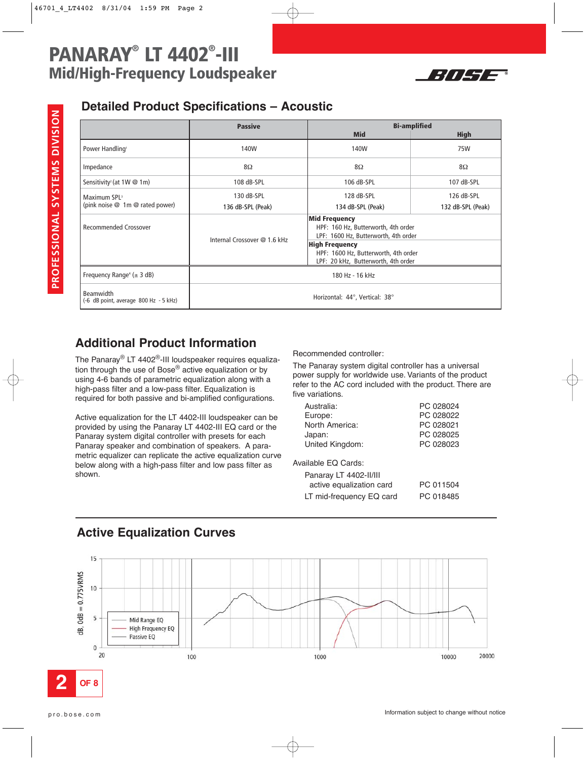

### **Detailed Product Specifications – Acoustic**

|                                                             | <b>Passive</b>                 | <b>Bi-amplified</b>                                                                                 |                   |
|-------------------------------------------------------------|--------------------------------|-----------------------------------------------------------------------------------------------------|-------------------|
|                                                             |                                | <b>Mid</b>                                                                                          | <b>High</b>       |
| Power Handling <sup>1</sup>                                 | 140W                           | 140W                                                                                                | 75W               |
| Impedance                                                   | $8\Omega$                      | $8\Omega$                                                                                           | $8\Omega$         |
| Sensitivity <sup>2</sup> (at 1W @ 1m)                       | 108 dB-SPL                     | 106 dB-SPL                                                                                          | 107 dB-SPL        |
| Maximum SPL <sup>3</sup><br>(pink noise @ 1m @ rated power) | 130 dB-SPL                     | 128 dB-SPL                                                                                          | 126 dB-SPL        |
|                                                             | 136 dB-SPL (Peak)              | 134 dB-SPL (Peak)                                                                                   | 132 dB-SPL (Peak) |
| <b>Recommended Crossover</b>                                | Internal Crossover @ 1.6 kHz   | <b>Mid Frequency</b><br>HPF: 160 Hz, Butterworth, 4th order<br>LPF: 1600 Hz, Butterworth, 4th order |                   |
|                                                             |                                | <b>High Frequency</b>                                                                               |                   |
|                                                             |                                | HPF: 1600 Hz, Butterworth, 4th order<br>LPF: 20 kHz, Butterworth, 4th order                         |                   |
| Frequency Range <sup>4</sup> ( $\pm$ 3 dB)                  | 180 Hz - 16 kHz                |                                                                                                     |                   |
| <b>Beamwidth</b><br>(-6 dB point, average 800 Hz - 5 kHz)   | Horizontal: 44°, Vertical: 38° |                                                                                                     |                   |

## **Additional Product Information**

The Panaray® LT 4402®-III loudspeaker requires equalization through the use of Bose<sup>®</sup> active equalization or by using 4-6 bands of parametric equalization along with a high-pass filter and a low-pass filter. Equalization is required for both passive and bi-amplified configurations.

Active equalization for the LT 4402-III loudspeaker can be provided by using the Panaray LT 4402-III EQ card or the Panaray system digital controller with presets for each Panaray speaker and combination of speakers. A parametric equalizer can replicate the active equalization curve below along with a high-pass filter and low pass filter as shown.

Recommended controller:

The Panaray system digital controller has a universal power supply for worldwide use. Variants of the product refer to the AC cord included with the product. There are five variations.

| Australia:               | PC 028024 |
|--------------------------|-----------|
| Europe:                  | PC 028022 |
| North America:           | PC 028021 |
| Japan:                   | PC 028025 |
| United Kingdom:          | PC 028023 |
|                          |           |
| Available EQ Cards:      |           |
| Panaray LT 4402-II/III   |           |
| active equalization card | PC 011504 |
| LT mid-frequency EQ card | PC 018485 |

### **Active Equalization Curves**

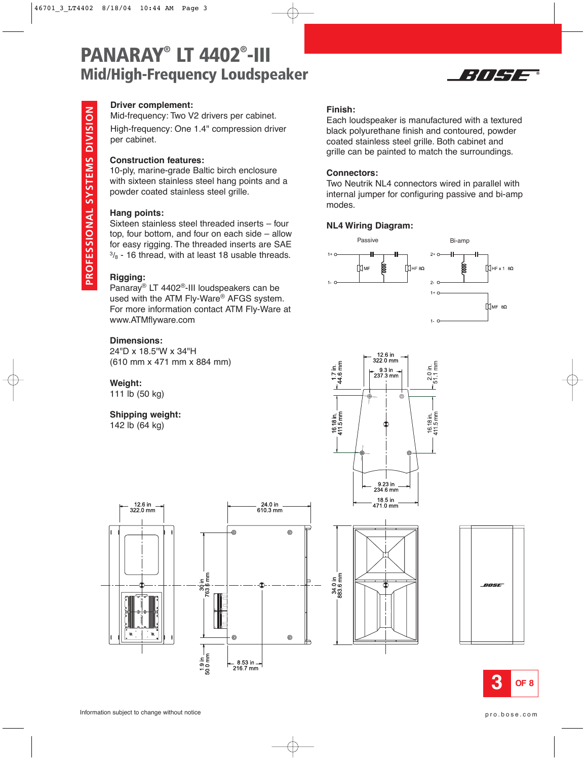

### **Driver complement:**

Mid-frequency: Two V2 drivers per cabinet.

High-frequency: One 1.4" compression driver per cabinet.

#### **Construction features:**

10-ply, marine-grade Baltic birch enclosure with sixteen stainless steel hang points and a powder coated stainless steel grille.

### **Hang points:**

Sixteen stainless steel threaded inserts – four top, four bottom, and four on each side – allow for easy rigging. The threaded inserts are SAE  $3/8$  - 16 thread, with at least 18 usable threads.

### **Rigging:**

Panaray® LT 4402®-III loudspeakers can be used with the ATM Fly-Ware® AFGS system. For more information contact ATM Fly-Ware at www.ATMflyware.com

#### **Dimensions:**

24"D x 18.5"W x 34"H (610 mm x 471 mm x 884 mm)

#### **Weight:**

111 lb (50 kg)

### **Shipping weight:**

142 lb (64 kg)

#### **Finish:**

Each loudspeaker is manufactured with a textured black polyurethane finish and contoured, powder coated stainless steel grille. Both cabinet and grille can be painted to match the surroundings.

#### **Connectors:**

Two Neutrik NL4 connectors wired in parallel with internal jumper for configuring passive and bi-amp modes.

#### **NL4 Wiring Diagram:**





34.0 in<br>883.6 mm





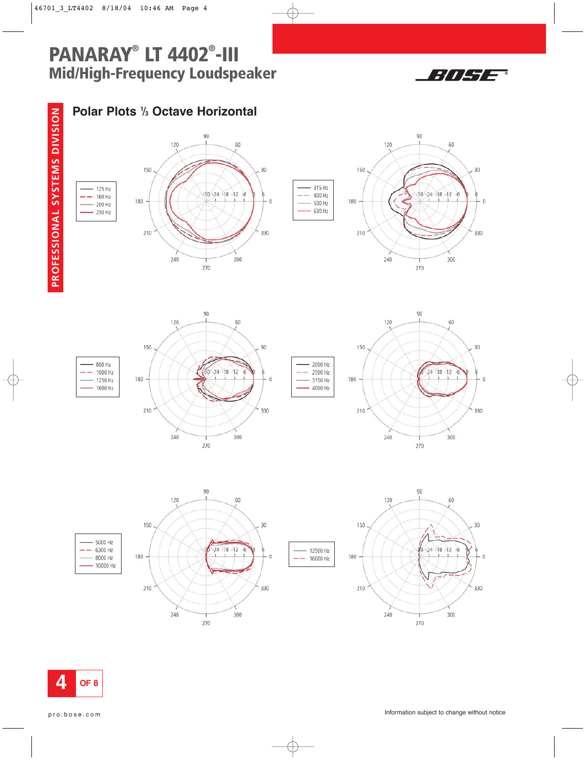



## **Polar Plots 1** /**<sup>3</sup> Octave Horizontal**









2000 Hz

2500 Hz

3150 Hz

 $-4000$  Hz

12500 Hz

 $- 16000 Hz$ 

÷







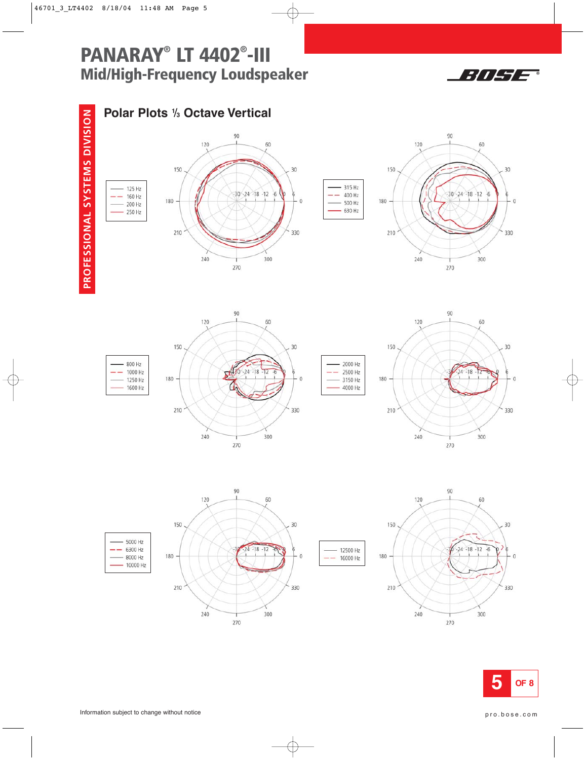



## **Polar Plots 1** /**<sup>3</sup> Octave Vertical**





315 Hz

400 Hz

500 Hz

630 Hz

2000 Hz

3150 Hz

4000 Hz

 $-2500$  Hz



60

300

270

30

 $\bf 0$ 

330





240





800 Hz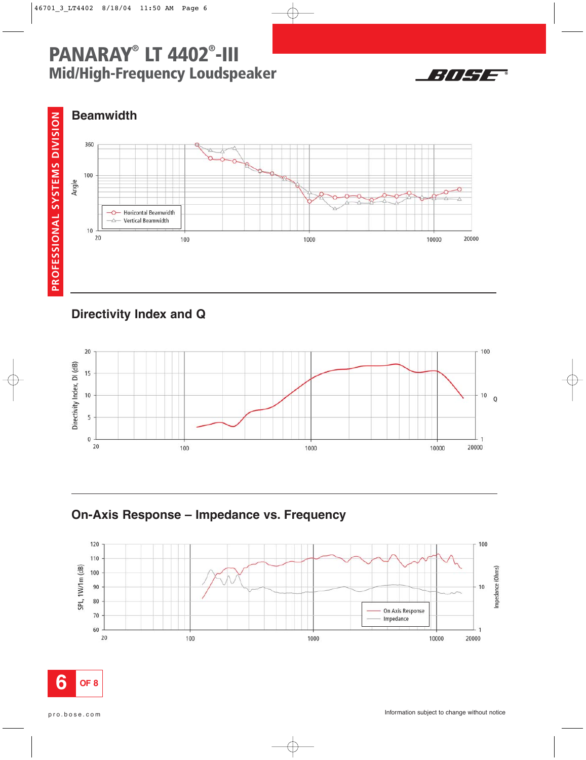



## **Beamwidth**



## **Directivity Index and Q**



**On-Axis Response – Impedance vs. Frequency** 



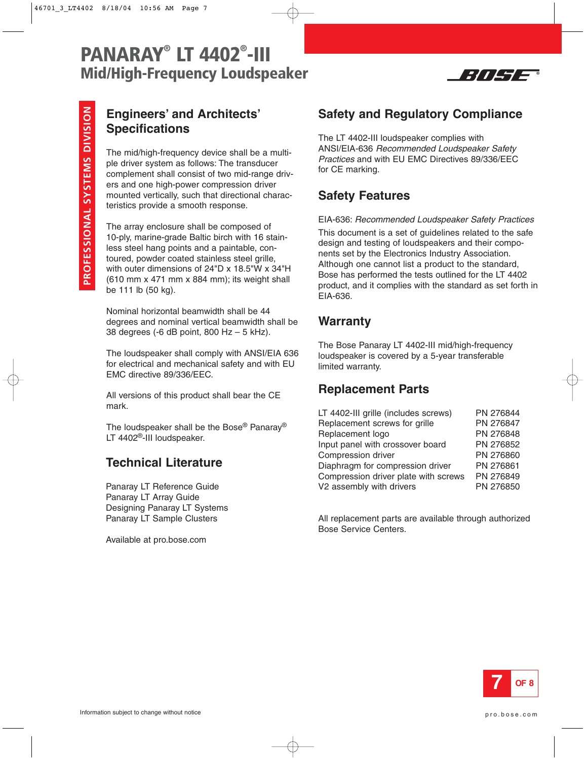

## **Engineers' and Architects' Specifications**

The mid/high-frequency device shall be a multiple driver system as follows: The transducer complement shall consist of two mid-range drivers and one high-power compression driver mounted vertically, such that directional characteristics provide a smooth response.

The array enclosure shall be composed of 10-ply, marine-grade Baltic birch with 16 stainless steel hang points and a paintable, contoured, powder coated stainless steel grille, with outer dimensions of 24"D x 18.5"W x 34"H (610 mm x 471 mm x 884 mm); its weight shall be 111 lb (50 kg).

Nominal horizontal beamwidth shall be 44 degrees and nominal vertical beamwidth shall be 38 degrees (-6 dB point, 800 Hz – 5 kHz).

The loudspeaker shall comply with ANSI/EIA 636 for electrical and mechanical safety and with EU EMC directive 89/336/EEC.

All versions of this product shall bear the CE mark.

The loudspeaker shall be the Bose® Panaray® LT 4402<sup>®</sup>-III loudspeaker.

## **Technical Literature**

Panaray LT Reference Guide Panaray LT Array Guide Designing Panaray LT Systems Panaray LT Sample Clusters

Available at pro.bose.com

## **Safety and Regulatory Compliance**

The LT 4402-III loudspeaker complies with ANSI/EIA-636 Recommended Loudspeaker Safety Practices and with EU EMC Directives 89/336/EEC for CE marking.

## **Safety Features**

#### EIA-636: Recommended Loudspeaker Safety Practices

This document is a set of guidelines related to the safe design and testing of loudspeakers and their components set by the Electronics Industry Association. Although one cannot list a product to the standard, Bose has performed the tests outlined for the LT 4402 product, and it complies with the standard as set forth in EIA-636.

### **Warranty**

The Bose Panaray LT 4402-III mid/high-frequency loudspeaker is covered by a 5-year transferable limited warranty.

### **Replacement Parts**

| LT 4402-III grille (includes screws) | PN 276844 |
|--------------------------------------|-----------|
| Replacement screws for grille        | PN 276847 |
| Replacement logo                     | PN 276848 |
| Input panel with crossover board     | PN 276852 |
| Compression driver                   | PN 276860 |
| Diaphragm for compression driver     | PN 276861 |
| Compression driver plate with screws | PN 276849 |
| V2 assembly with drivers             | PN 276850 |

All replacement parts are available through authorized Bose Service Centers.